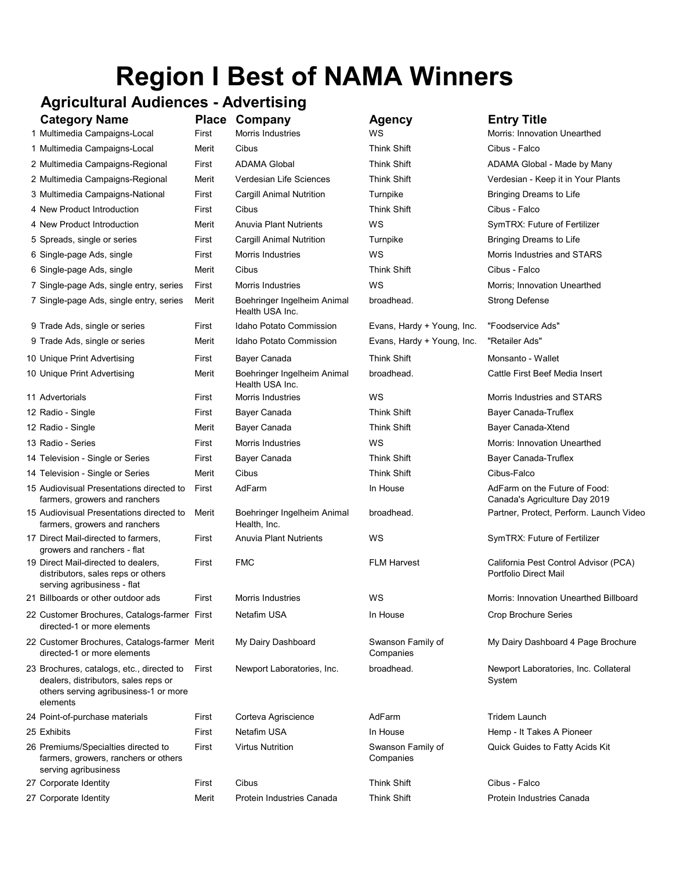# Region I Best of NAMA Winners

## Agricultural Audiences - Advertising

| <b>Category Name</b><br>1 Multimedia Campaigns-Local                                                                                   | First | <b>Place Company</b><br>Morris Industries      | <b>Agency</b><br>ws            | <b>Entry Title</b><br>Morris: Innovation Unearthed             |
|----------------------------------------------------------------------------------------------------------------------------------------|-------|------------------------------------------------|--------------------------------|----------------------------------------------------------------|
| 1 Multimedia Campaigns-Local                                                                                                           | Merit | Cibus                                          | <b>Think Shift</b>             | Cibus - Falco                                                  |
| 2 Multimedia Campaigns-Regional                                                                                                        | First | <b>ADAMA Global</b>                            | <b>Think Shift</b>             | ADAMA Global - Made by Many                                    |
| 2 Multimedia Campaigns-Regional                                                                                                        | Merit | Verdesian Life Sciences                        | <b>Think Shift</b>             | Verdesian - Keep it in Your Plants                             |
| 3 Multimedia Campaigns-National                                                                                                        | First | <b>Cargill Animal Nutrition</b>                | Turnpike                       | Bringing Dreams to Life                                        |
| 4 New Product Introduction                                                                                                             | First | Cibus                                          | <b>Think Shift</b>             | Cibus - Falco                                                  |
| 4 New Product Introduction                                                                                                             | Merit | <b>Anuvia Plant Nutrients</b>                  | WS                             | SymTRX: Future of Fertilizer                                   |
| 5 Spreads, single or series                                                                                                            | First | <b>Cargill Animal Nutrition</b>                | Turnpike                       | Bringing Dreams to Life                                        |
| 6 Single-page Ads, single                                                                                                              | First | Morris Industries                              | WS                             | Morris Industries and STARS                                    |
| 6 Single-page Ads, single                                                                                                              | Merit | Cibus                                          | <b>Think Shift</b>             | Cibus - Falco                                                  |
| 7 Single-page Ads, single entry, series                                                                                                | First | Morris Industries                              | WS                             | Morris; Innovation Unearthed                                   |
| 7 Single-page Ads, single entry, series                                                                                                | Merit | Boehringer Ingelheim Animal<br>Health USA Inc. | broadhead.                     | <b>Strong Defense</b>                                          |
| 9 Trade Ads, single or series                                                                                                          | First | <b>Idaho Potato Commission</b>                 | Evans, Hardy + Young, Inc.     | "Foodservice Ads"                                              |
| 9 Trade Ads, single or series                                                                                                          | Merit | Idaho Potato Commission                        | Evans, Hardy + Young, Inc.     | "Retailer Ads"                                                 |
| 10 Unique Print Advertising                                                                                                            | First | Bayer Canada                                   | Think Shift                    | Monsanto - Wallet                                              |
| 10 Unique Print Advertising                                                                                                            | Merit | Boehringer Ingelheim Animal<br>Health USA Inc. | broadhead.                     | Cattle First Beef Media Insert                                 |
| 11 Advertorials                                                                                                                        | First | Morris Industries                              | WS                             | Morris Industries and STARS                                    |
| 12 Radio - Single                                                                                                                      | First | Bayer Canada                                   | <b>Think Shift</b>             | <b>Bayer Canada-Truflex</b>                                    |
| 12 Radio - Single                                                                                                                      | Merit | Bayer Canada                                   | <b>Think Shift</b>             | Bayer Canada-Xtend                                             |
| 13 Radio - Series                                                                                                                      | First | Morris Industries                              | WS                             | Morris: Innovation Unearthed                                   |
| 14 Television - Single or Series                                                                                                       | First | Bayer Canada                                   | <b>Think Shift</b>             | Bayer Canada-Truflex                                           |
| 14 Television - Single or Series                                                                                                       | Merit | Cibus                                          | <b>Think Shift</b>             | Cibus-Falco                                                    |
| 15 Audiovisual Presentations directed to<br>farmers, growers and ranchers                                                              | First | AdFarm                                         | In House                       | AdFarm on the Future of Food:<br>Canada's Agriculture Day 2019 |
| 15 Audiovisual Presentations directed to<br>farmers, growers and ranchers                                                              | Merit | Boehringer Ingelheim Animal<br>Health, Inc.    | broadhead.                     | Partner, Protect, Perform. Launch Video                        |
| 17 Direct Mail-directed to farmers,<br>growers and ranchers - flat                                                                     | First | <b>Anuvia Plant Nutrients</b>                  | WS                             | SymTRX: Future of Fertilizer                                   |
| 19 Direct Mail-directed to dealers,<br>distributors, sales reps or others<br>serving agribusiness - flat                               | First | <b>FMC</b>                                     | <b>FLM Harvest</b>             | California Pest Control Advisor (PCA)<br>Portfolio Direct Mail |
| 21 Billboards or other outdoor ads                                                                                                     | First | Morris Industries                              | WS                             | Morris: Innovation Unearthed Billboard                         |
| 22 Customer Brochures, Catalogs-farmer First<br>directed-1 or more elements                                                            |       | Netafim USA                                    | In House                       | <b>Crop Brochure Series</b>                                    |
| 22 Customer Brochures, Catalogs-farmer Merit<br>directed-1 or more elements                                                            |       | My Dairy Dashboard                             | Swanson Family of<br>Companies | My Dairy Dashboard 4 Page Brochure                             |
| 23 Brochures, catalogs, etc., directed to<br>dealers, distributors, sales reps or<br>others serving agribusiness-1 or more<br>elements | First | Newport Laboratories, Inc.                     | broadhead.                     | Newport Laboratories, Inc. Collateral<br>System                |
| 24 Point-of-purchase materials                                                                                                         | First | Corteva Agriscience                            | AdFarm                         | <b>Tridem Launch</b>                                           |
| 25 Exhibits                                                                                                                            | First | Netafim USA                                    | In House                       | Hemp - It Takes A Pioneer                                      |
| 26 Premiums/Specialties directed to<br>farmers, growers, ranchers or others<br>serving agribusiness                                    | First | <b>Virtus Nutrition</b>                        | Swanson Family of<br>Companies | Quick Guides to Fatty Acids Kit                                |
| 27 Corporate Identity                                                                                                                  | First | Cibus                                          | <b>Think Shift</b>             | Cibus - Falco                                                  |
| 27 Corporate Identity                                                                                                                  | Merit | Protein Industries Canada                      | <b>Think Shift</b>             | Protein Industries Canada                                      |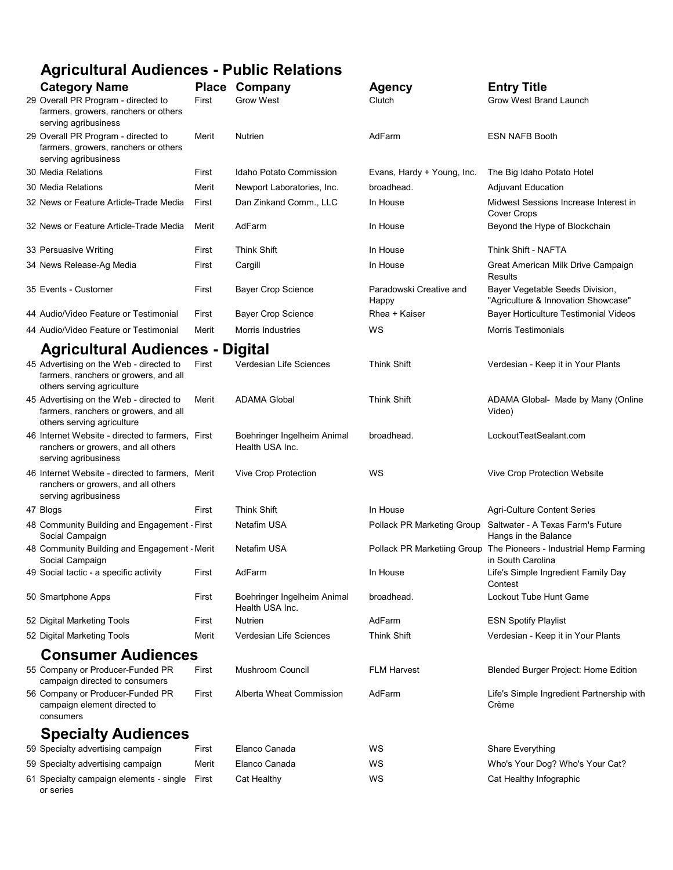## Agricultural Audiences - Public Relations

| <b>Category Name</b>                                                                                            |       | <b>Place Company</b>                           | <b>Agency</b>                    | <b>Entry Title</b>                                                     |  |  |  |
|-----------------------------------------------------------------------------------------------------------------|-------|------------------------------------------------|----------------------------------|------------------------------------------------------------------------|--|--|--|
| 29 Overall PR Program - directed to<br>farmers, growers, ranchers or others<br>serving agribusiness             | First | <b>Grow West</b>                               | Clutch                           | Grow West Brand Launch                                                 |  |  |  |
| 29 Overall PR Program - directed to<br>farmers, growers, ranchers or others<br>serving agribusiness             | Merit | <b>Nutrien</b>                                 | AdFarm                           | <b>ESN NAFB Booth</b>                                                  |  |  |  |
| 30 Media Relations                                                                                              | First | Idaho Potato Commission                        | Evans, Hardy + Young, Inc.       | The Big Idaho Potato Hotel                                             |  |  |  |
| 30 Media Relations                                                                                              | Merit | Newport Laboratories, Inc.                     | broadhead.                       | <b>Adjuvant Education</b>                                              |  |  |  |
| 32 News or Feature Article-Trade Media                                                                          | First | Dan Zinkand Comm., LLC                         | In House                         | Midwest Sessions Increase Interest in<br><b>Cover Crops</b>            |  |  |  |
| 32 News or Feature Article-Trade Media                                                                          | Merit | AdFarm                                         | In House                         | Beyond the Hype of Blockchain                                          |  |  |  |
| 33 Persuasive Writing                                                                                           | First | <b>Think Shift</b>                             | In House                         | Think Shift - NAFTA                                                    |  |  |  |
| 34 News Release-Ag Media                                                                                        | First | Cargill                                        | In House                         | Great American Milk Drive Campaign<br>Results                          |  |  |  |
| 35 Events - Customer                                                                                            | First | <b>Bayer Crop Science</b>                      | Paradowski Creative and<br>Happy | Bayer Vegetable Seeds Division,<br>"Agriculture & Innovation Showcase" |  |  |  |
| 44 Audio/Video Feature or Testimonial                                                                           | First | <b>Bayer Crop Science</b>                      | Rhea + Kaiser                    | Bayer Horticulture Testimonial Videos                                  |  |  |  |
| 44 Audio/Video Feature or Testimonial                                                                           | Merit | <b>Morris Industries</b>                       | ws                               | <b>Morris Testimonials</b>                                             |  |  |  |
| <b>Agricultural Audiences -</b><br><b>Digital</b>                                                               |       |                                                |                                  |                                                                        |  |  |  |
| 45 Advertising on the Web - directed to<br>farmers, ranchers or growers, and all<br>others serving agriculture  | First | Verdesian Life Sciences                        | <b>Think Shift</b>               | Verdesian - Keep it in Your Plants                                     |  |  |  |
| 45 Advertising on the Web - directed to<br>farmers, ranchers or growers, and all<br>others serving agriculture  | Merit | <b>ADAMA Global</b>                            | <b>Think Shift</b>               | ADAMA Global- Made by Many (Online<br>Video)                           |  |  |  |
| 46 Internet Website - directed to farmers, First<br>ranchers or growers, and all others<br>serving agribusiness |       | Boehringer Ingelheim Animal<br>Health USA Inc. | broadhead.                       | LockoutTeatSealant.com                                                 |  |  |  |
| 46 Internet Website - directed to farmers, Merit<br>ranchers or growers, and all others<br>serving agribusiness |       | Vive Crop Protection                           | ws                               | Vive Crop Protection Website                                           |  |  |  |
| 47 Blogs                                                                                                        | First | <b>Think Shift</b>                             | In House                         | <b>Agri-Culture Content Series</b>                                     |  |  |  |
| 48 Community Building and Engagement - First<br>Social Campaign                                                 |       | Netafim USA                                    | Pollack PR Marketing Group       | Saltwater - A Texas Farm's Future<br>Hangs in the Balance              |  |  |  |
| 48 Community Building and Engagement - Merit<br>Social Campaign                                                 |       | Netafim USA                                    | Pollack PR Marketiing Group      | The Pioneers - Industrial Hemp Farming<br>in South Carolina            |  |  |  |
| 49 Social tactic - a specific activity                                                                          | First | AdFarm                                         | In House                         | Life's Simple Ingredient Family Day<br>Contest                         |  |  |  |
| 50 Smartphone Apps                                                                                              | First | Boehringer Ingelheim Animal<br>Health USA Inc. | broadhead.                       | Lockout Tube Hunt Game                                                 |  |  |  |
| 52 Digital Marketing Tools                                                                                      | First | Nutrien                                        | AdFarm                           | <b>ESN Spotify Playlist</b>                                            |  |  |  |
| 52 Digital Marketing Tools                                                                                      | Merit | Verdesian Life Sciences                        | Think Shift                      | Verdesian - Keep it in Your Plants                                     |  |  |  |
| <b>Consumer Audiences</b>                                                                                       |       |                                                |                                  |                                                                        |  |  |  |
| 55 Company or Producer-Funded PR<br>campaign directed to consumers                                              | First | Mushroom Council                               | <b>FLM Harvest</b>               | Blended Burger Project: Home Edition                                   |  |  |  |
| 56 Company or Producer-Funded PR<br>campaign element directed to<br>consumers                                   | First | Alberta Wheat Commission                       | AdFarm                           | Life's Simple Ingredient Partnership with<br>Crème                     |  |  |  |
| <b>Specialty Audiences</b>                                                                                      |       |                                                |                                  |                                                                        |  |  |  |
| 59 Specialty advertising campaign                                                                               | First | Elanco Canada                                  | WS                               | Share Everything                                                       |  |  |  |
| 59 Specialty advertising campaign                                                                               | Merit | Elanco Canada                                  | WS                               | Who's Your Dog? Who's Your Cat?                                        |  |  |  |
| 61 Specialty campaign elements - single<br>or series                                                            | First | Cat Healthy                                    | WS                               | Cat Healthy Infographic                                                |  |  |  |